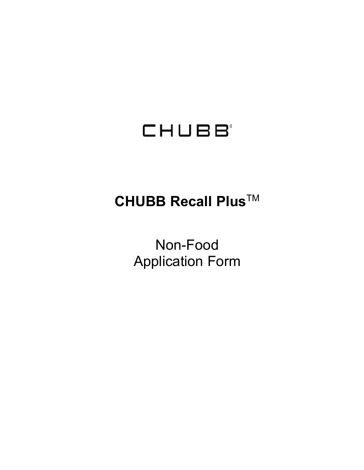# CHUBB<sup>®</sup>

## **CHUBB Recall Plus**TM

Non-Food Application Form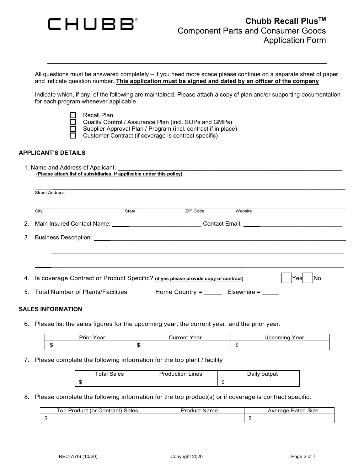

All questions must be answered completely – if you need more space please continue on a separate sheet of paper and indicate question number. **This application must be signed and dated by an officer of the company**

Indicate which, if any, of the following are maintained. Please attach a copy of plan and/or supporting documentation for each program whenever applicable

Recall Plan

Quality Control / Assurance Plan (incl. SOPs and GMPs)

Supplier Approval Plan / Program (incl. contract if in place)

Customer Contract (if coverage is contract specific)

#### **APPLICANT'S DETAILS**

| 1. Name and Address of Applicant:                                     |  |
|-----------------------------------------------------------------------|--|
| (Please attach list of subsidiaries, if applicable under this policy) |  |

\_\_\_\_\_\_\_\_\_\_\_\_\_\_\_\_\_\_\_\_\_\_\_\_\_\_\_\_\_\_\_\_\_\_\_\_\_\_\_\_\_\_\_\_\_\_\_\_\_\_\_\_\_\_\_\_\_\_\_\_\_\_\_\_\_\_\_\_\_\_\_\_\_\_\_\_\_\_\_\_\_\_

| City                                                                                  | State | ZIP Code | Website |             |
|---------------------------------------------------------------------------------------|-------|----------|---------|-------------|
|                                                                                       |       |          |         |             |
|                                                                                       |       |          |         |             |
|                                                                                       |       |          |         |             |
|                                                                                       |       |          |         |             |
|                                                                                       |       |          |         |             |
|                                                                                       |       |          |         |             |
| 4. Is coverage Contract or Product Specific? (if yes please provide copy of contract) |       |          |         | INo<br>Yesl |

6. Please list the sales figures for the upcoming year, the current year, and the prior year:

| Prior<br>7ear<br><br>Year<br>uncin |  | $ -$<br>Year<br>זוו |
|------------------------------------|--|---------------------|
| œ<br>-11                           |  | æ<br>- D            |

7. Please complete the following information for the top plant / facility

| <b>Total Sales</b> | <b>Production Lines</b> | Daily output |
|--------------------|-------------------------|--------------|
| æ<br>٠п            |                         | - 13         |

8. Please complete the following information for the top product(s) or if coverage is contract specific:

|   | .op<br>Sales<br>∴ontractٽ<br>Product<br>(or | Name<br>Produc' | Size<br>Batch<br>Average |
|---|---------------------------------------------|-----------------|--------------------------|
| œ |                                             |                 |                          |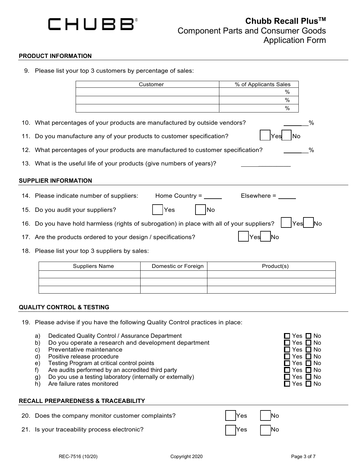

#### **PRODUCT INFORMATION**

9. Please list your top 3 customers by percentage of sales:

|                                                                                        |                                                                                           | Customer                                                                                   | % of Applicants Sales                       |  |  |
|----------------------------------------------------------------------------------------|-------------------------------------------------------------------------------------------|--------------------------------------------------------------------------------------------|---------------------------------------------|--|--|
|                                                                                        |                                                                                           |                                                                                            | %                                           |  |  |
|                                                                                        |                                                                                           |                                                                                            | %                                           |  |  |
|                                                                                        |                                                                                           |                                                                                            | %                                           |  |  |
|                                                                                        |                                                                                           | 10. What percentages of your products are manufactured by outside vendors?                 | %                                           |  |  |
| 11. Do you manufacture any of your products to customer specification?<br>Yes<br>No    |                                                                                           |                                                                                            |                                             |  |  |
| 12. What percentages of your products are manufactured to customer specification?<br>% |                                                                                           |                                                                                            |                                             |  |  |
| 13. What is the useful life of your products (give numbers of years)?                  |                                                                                           |                                                                                            |                                             |  |  |
| <b>SUPPLIER INFORMATION</b>                                                            |                                                                                           |                                                                                            |                                             |  |  |
|                                                                                        | 14. Please indicate number of suppliers:                                                  | Home Country = $\overline{\phantom{a}}$                                                    | Elsewhere $=$ $\_$                          |  |  |
| 15. Do you audit your suppliers?                                                       |                                                                                           | Yes                                                                                        | No                                          |  |  |
|                                                                                        |                                                                                           | 16. Do you have hold harmless (rights of subrogation) in place with all of your suppliers? | lNo<br>Yesl                                 |  |  |
|                                                                                        | 17. Are the products ordered to your design / specifications?                             |                                                                                            | <b>No</b><br>Yes                            |  |  |
|                                                                                        | 18. Please list your top 3 suppliers by sales:                                            |                                                                                            |                                             |  |  |
|                                                                                        | <b>Suppliers Name</b>                                                                     | Domestic or Foreign                                                                        | Product(s)                                  |  |  |
|                                                                                        |                                                                                           |                                                                                            |                                             |  |  |
|                                                                                        |                                                                                           |                                                                                            |                                             |  |  |
|                                                                                        |                                                                                           |                                                                                            |                                             |  |  |
|                                                                                        |                                                                                           |                                                                                            |                                             |  |  |
| <b>QUALITY CONTROL &amp; TESTING</b>                                                   |                                                                                           |                                                                                            |                                             |  |  |
|                                                                                        |                                                                                           | 19. Please advise if you have the following Quality Control practices in place:            |                                             |  |  |
| a)                                                                                     | Dedicated Quality Control / Assurance Department                                          |                                                                                            | ′es<br><b>No</b>                            |  |  |
| b)                                                                                     |                                                                                           | Do you operate a research and development department                                       | $\square$ Yes $\square$ No                  |  |  |
| C)                                                                                     | Preventative maintenance                                                                  |                                                                                            | $\square$ Yes $\square$ No<br>Yes $\Box$ No |  |  |
| d)<br>e)                                                                               | Positive release procedure<br>Testing Program at critical control points                  |                                                                                            | Yes<br>⊐ No                                 |  |  |
| f)                                                                                     | Are audits performed by an accredited third party                                         |                                                                                            | Yes $\Box$ No                               |  |  |
| g)<br>h)                                                                               | Do you use a testing laboratory (internally or externally)<br>Are failure rates monitored |                                                                                            | Yes $\Box$ No<br>$\square$ Yes $\square$ No |  |  |
|                                                                                        | <b>RECALL PREPAREDNESS &amp; TRACEABILITY</b>                                             |                                                                                            |                                             |  |  |
|                                                                                        |                                                                                           |                                                                                            |                                             |  |  |
|                                                                                        | 20. Does the company monitor customer complaints?                                         |                                                                                            | Yes<br>No                                   |  |  |
|                                                                                        | 21. Is your traceability process electronic?                                              |                                                                                            | Yes<br>No                                   |  |  |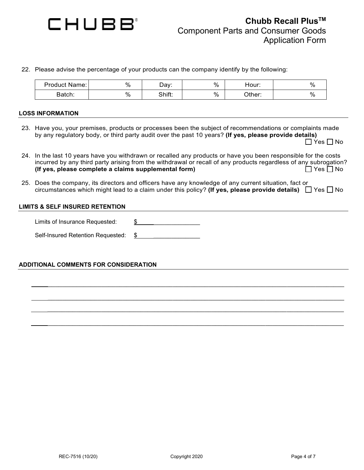

22. Please advise the percentage of your products can the company identify by the following:

| <b>Product Name:</b> | % | ⊃ay∵   | $\%$ | Hour:  | $\%$ |
|----------------------|---|--------|------|--------|------|
| Batch:               | % | Shift: | $\%$ | วther: | %    |

#### **LOSS INFORMATION**

- 23. Have you, your premises, products or processes been the subject of recommendations or complaints made by any regulatory body, or third party audit over the past 10 years? **(If yes, please provide details)**  $\Box$  Yes  $\Box$  No
- 24. In the last 10 years have you withdrawn or recalled any products or have you been responsible for the costs incurred by any third party arising from the withdrawal or recall of any products regardless of any subrogation? **(If yes, please complete a claims supplemental form)**  $\Box$  Yes  $\Box$  No
- 25. Does the company, its directors and officers have any knowledge of any current situation, fact or circumstances which might lead to a claim under this policy? **(If yes, please provide details)**  $\Box$  Yes  $\Box$  No

\_\_\_\_\_\_\_\_\_\_\_\_\_\_\_\_\_\_\_\_\_\_\_\_\_\_\_\_\_\_\_\_\_\_\_\_\_\_\_\_\_\_\_\_\_\_\_\_\_\_\_\_\_\_\_\_\_\_\_\_\_\_\_\_\_\_\_\_\_\_\_\_\_\_\_\_\_\_\_\_\_\_\_

\_\_\_\_\_\_\_\_\_\_\_\_\_\_\_\_\_\_\_\_\_\_\_\_\_\_\_\_\_\_\_\_\_\_\_\_\_\_\_\_\_\_\_\_\_\_\_\_\_\_\_\_\_\_\_\_\_\_\_\_\_\_\_\_\_\_\_\_\_\_\_\_\_\_\_\_\_\_\_\_\_\_\_ \_\_\_\_\_\_\_\_\_\_\_\_\_\_\_\_\_\_\_\_\_\_\_\_\_\_\_\_\_\_\_\_\_\_\_\_\_\_\_\_\_\_\_\_\_\_\_\_\_\_\_\_\_\_\_\_\_\_\_\_\_\_\_\_\_\_\_\_\_\_\_\_\_\_\_\_\_\_\_\_\_\_\_

\_\_\_\_\_\_\_\_\_\_\_\_\_\_\_\_\_\_\_\_\_\_\_\_\_\_\_\_\_\_\_\_\_\_\_\_\_\_\_\_\_\_\_\_\_\_\_\_\_\_\_\_\_\_\_\_\_\_\_\_\_\_\_\_\_\_\_\_\_\_\_\_\_\_\_\_\_\_\_\_\_\_\_

#### **LIMITS & SELF INSURED RETENTION**

Limits of Insurance Requested:  $\frac{\$}{}$ Self-Insured Retention Requested: \$

**ADDITIONAL COMMENTS FOR CONSIDERATION**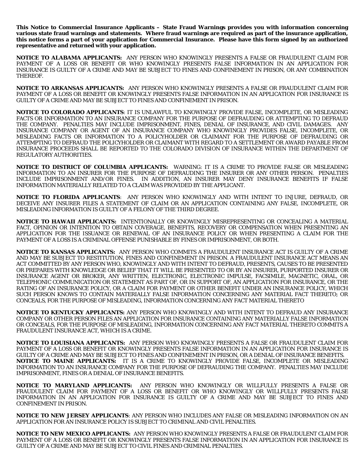**This Notice to Commercial Insurance Applicants – State Fraud Warnings provides you with information concerning various state fraud warnings and statements. Where fraud warnings are required as part of the insurance application, this notice forms a part of your application for Commercial Insurance. Please have this form signed by an authorized representative and returned with your application.**

**NOTICE TO ALABAMA APPLICANTS:** ANY PERSON WHO KNOWINGLY PRESENTS A FALSE OR FRAUDULENT CLAIM FOR PAYMENT OF A LOSS OR BENEFIT OR WHO KNOWINGLY PRESENTS FALSE INFORMATION IN AN APPLICATION FOR INSURANCE IS GUILTY OF A CRIME AND MAY BE SUBJECT TO FINES AND CONFINEMENT IN PRISON, OR ANY COMBINATION THEREOF.

**NOTICE TO ARKANSAS APPLICANTS:** ANY PERSON WHO KNOWINGLY PRESENTS A FALSE OR FRAUDULENT CLAIM FOR PAYMENT OF A LOSS OR BENEFIT OR KNOWINGLY PRESENTS FALSE INFORMATION IN AN APPLICATION FOR INSURANCE IS GUILTY OF A CRIME AND MAY BE SUBJECT TO FINES AND CONFINEMENT IN PRISON.

**NOTICE TO COLORADO APPLICANTS**: IT IS UNLAWFUL TO KNOWINGLY PROVIDE FALSE, INCOMPLETE, OR MISLEADING FACTS OR INFORMATION TO AN INSURANCE COMPANY FOR THE PURPOSE OF DEFRAUDING OR ATTEMPTING TO DEFRAUD THE COMPANY. PENALTIES MAY INCLUDE IMPRISONMENT, FINES, DENIAL OF INSURANCE, AND CIVIL DAMAGES. ANY INSURANCE COMPANY OR AGENT OF AN INSURANCE COMPANY WHO KNOWINGLY PROVIDES FALSE, INCOMPLETE, OR MISLEADING FACTS OR INFORMATION TO A POLICYHOLDER OR CLAIMANT FOR THE PURPOSE OF DEFRAUDING OR ATTEMPTING TO DEFRAUD THE POLICYHOLDER OR CLAIMANT WITH REGARD TO A SETTLEMENT OR AWARD PAYABLE FROM INSURANCE PROCEEDS SHALL BE REPORTED TO THE COLORADO DIVISION OF INSURANCE WITHIN THE DEPARTMENT OF REGULATORY AUTHORITIES.

**NOTICE TO DISTRICT OF COLUMBIA APPLICANTS:** WARNING: IT IS A CRIME TO PROVIDE FALSE OR MISLEADING INFORMATION TO AN INSURER FOR THE PURPOSE OF DEFRAUDING THE INSURER OR ANY OTHER PERSON. PENALTIES INCLUDE IMPRISONMENT AND/OR FINES. IN ADDITION, AN INSURER MAY DENY INSURANCE BENEFITS IF FALSE INFORMATION MATERIALLY RELATED TO A CLAIM WAS PROVIDED BY THE APPLICANT.

**NOTICE TO FLORIDA APPLICANTS**: ANY PERSON WHO KNOWINGLY AND WITH INTENT TO INJURE, DEFRAUD, OR DECEIVE ANY INSURER FILES A STATEMENT OF CLAIM OR AN APPLICATION CONTAINING ANY FALSE, INCOMPLETE, OR MISLEADING INFORMATION IS GUILTY OF A FELONY OF THE THIRD DEGREE.

**NOTICE TO HAWAII APPLICANTS:** INTENTIONALLY OR KNOWINGLY MISREPRESENTING OR CONCEALING A MATERIAL FACT, OPINION OR INTENTION TO OBTAIN COVERAGE, BENEFITS, RECOVERY OR COMPENSATION WHEN PRESENTING AN APPLICATION FOR THE ISSUANCE OR RENEWAL OF AN INSURANCE POLICY OR WHEN PRESENTING A CLAIM FOR THE PAYMENT OF A LOSS IS A CRIMINAL OFFENSE PUNISHABLE BY FINES OR IMPRISONMENT, OR BOTH.

**NOTICE TO KANSAS APPLICANTS:** ANY PERSON WHO COMMITS A FRAUDULENT INSURANCE ACT IS GUILTY OF A CRIME AND MAY BE SUBJECT TO RESTITUTION, FINES AND CONFINEMENT IN PRISON. A FRAUDULENT INSURANCE ACT MEANS AN ACT COMMITTED BY ANY PERSON WHO, KNOWINGLY AND WITH INTENT TO DEFRAUD, PRESENTS, CAUSES TO BE PRESENTED OR PREPARES WITH KNOWLEDGE OR BELIEF THAT IT WILL BE PRESENTED TO OR BY AN INSURER, PURPORTED INSURER OR INSURANCE AGENT OR BROKER, ANY WRITTEN, ELECTRONIC, ELECTRONIC IMPULSE, FACSIMILE, MAGNETIC, ORAL, OR TELEPHONIC COMMUNICATION OR STATEMENT AS PART OF, OR IN SUPPORT OF, AN APPLICATION FOR INSURANCE, OR THE RATING OF AN INSURANCE POLICY, OR A CLAIM FOR PAYMENT OR OTHER BENEFIT UNDER AN INSURANCE POLICY, WHICH SUCH PERSON KNOWS TO CONTAIN MATERIALLY FALSE INFORMATION CONCERNING ANY MATERIAL FACT THERETO; OR CONCEALS, FOR THE PURPOSE OF MISLEADING, INFORMATION CONCERNING ANY FACT MATERIAL THERETO

**NOTICE TO KENTUCKY APPLICANTS:** ANY PERSON WHO KNOWINGLY AND WITH INTENT TO DEFRAUD ANY INSURANCE COMPANY OR OTHER PERSON FILES AN APPLICATION FOR INSURANCE CONTAINING ANY MATERIALLY FALSE INFORMATION OR CONCEALS, FOR THE PURPOSE OF MISLEADING, INFORMATION CONCERNING ANY FACT MATERIAL THERETO COMMITS A FRAUDULENT INSURANCE ACT, WHICH IS A CRIME.

**NOTICE TO LOUISIANA APPLICANTS:** ANY PERSON WHO KNOWINGLY PRESENTS A FALSE OR FRAUDULENT CLAIM FOR PAYMENT OF A LOSS OR BENEFIT OR KNOWINGLY PRESENTS FALSE INFORMATION IN AN APPLICATION FOR INSURANCE IS GUILTY OF A CRIME AND MAY BE SUBJECT TO FINES AND CONFINEMENT IN PRISON, OR A DENIAL OF INSURANCE BENEFITS. **NOTICE TO MAINE APPLICANTS:** IT IS A CRIME TO KNOWINGLY PROVIDE FALSE, INCOMPLETE OR MISLEADING INFORMATION TO AN INSURANCE COMPANY FOR THE PURPOSE OF DEFRAUDING THE COMPANY. PENALTIES MAY INCLUDE IMPRISONMENT, FINES OR A DENIAL OF INSURANCE BENEFITS.

**NOTICE TO MARYLAND APPLICANTS:** ANY PERSON WHO KNOWINGLY OR WILLFULLY PRESENTS A FALSE OR FRAUDULENT CLAIM FOR PAYMENT OF A LOSS OR BENEFIT OR WHO KNOWINGLY OR WILLFULLY PRESENTS FALSE INFORMATION IN AN APPLICATION FOR INSURANCE IS GUILTY OF A CRIME AND MAY BE SUBJECT TO FINES AND CONFINEMENT IN PRISON.

**NOTICE TO NEW JERSEY APPLICANTS**: ANY PERSON WHO INCLUDES ANY FALSE OR MISLEADING INFORMATION ON AN APPLICATION FOR AN INSURANCE POLICY IS SUBJECT TO CRIMINAL AND CIVIL PENALTIES.

**NOTICE TO NEW MEXICO APPLICANTS:** ANY PERSON WHO KNOWINGLY PRESENTS A FALSE OR FRAUDULENT CLAIM FOR PAYMENT OF A LOSS OR BENEFIT OR KNOWINGLY PRESENTS FALSE INFORMATION IN AN APPLICATION FOR INSURANCE IS GUILTY OF A CRIME AND MAY BE SUBJECT TO CIVIL FINES AND CRIMINAL PENALTIES.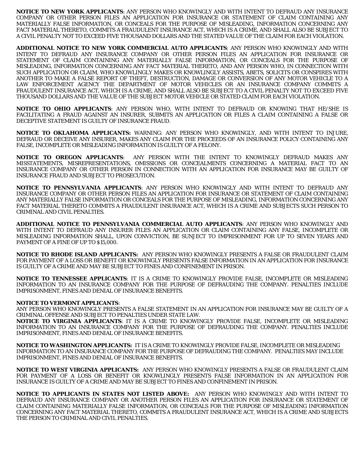**NOTICE TO NEW YORK APPLICANTS**: ANY PERSON WHO KNOWINGLY AND WITH INTENT TO DEFRAUD ANY INSURANCE COMPANY OR OTHER PERSON FILES AN APPLICATION FOR INSURANCE OR STATEMENT OF CLAIM CONTAINING ANY MATERIALLY FALSE INFORMATION, OR CONCEALS FOR THE PURPOSE OF MISLEADING, INFORMATION CONCERNING ANY FACT MATERIAL THERETO, COMMITS A FRAUDULENT INSURANCE ACT, WHICH IS A CRIME, AND SHALL ALSO BE SUBJECT TO A CIVIL PENALTY NOT TO EXCEED FIVE THOUSAND DOLLARS AND THE STATED VALUE OF THE CLAIM FOR EACH VIOLATION.

**ADDITIONAL NOTICE TO NEW YORK COMMERCIAL AUTO APPLICANTS**: ANY PERSON WHO KNOWINGLY AND WITH INTENT TO DEFRAUD ANY INSURANCE COMPANY OR OTHER PERSON FILES AN APPLICATION FOR INSURANCE OR STATEMENT OF CLAIM CONTAINING ANY MATERIALLY FALSE INFORMATION, OR CONCEALS FOR THE PURPOSE OF MISLEADING, INFORMATION CONCERNING ANY FACT MATERIAL THERETO, AND ANY PERSON WHO, IN CONNECTION WITH SUCH APPLICATION OR CLAIM, WHO KNOWLINGLY MAKES OR KNOWLINGLY ASSISTS, ABETS, SOLICITS OR CONSPIRES WITH ANOTHER TO MAKE A FALSE REPORT OF THEFT, DESTRUCTION, DAMAGE OR CONVERSION OF ANY MOTOR VEHICLE TO A LAW ENFORCEMENT AGENCY THE DEPARTMENT OF MOTOR VEHICLES OR AN INSURANCE COMPANY COMMITS A FRAUDULENT INSURANCE ACT, WHICH IS A CRIME, AND SHALL ALSO BE SUBJECT TO A CIVIL PENALTY NOT TO EXCEED FIVE THOUSAND DOLLARS AND THE VALUE OF THE SUBJECT MOTOR VEHICLE OR STATED CLAIM FOR EACH VIOLATION.

**NOTICE TO OHIO APPLICANTS**: ANY PERSON WHO, WITH INTENT TO DEFRAUD OR KNOWING THAT HE/SHE IS FACILITATING A FRAUD AGAINST AN INSURER, SUBMITS AN APPLICATION OR FILES A CLAIM CONTAINING A FALSE OR DECEPTIVE STATEMENT IS GUILTY OF INSURANCE FRAUD.

**NOTICE TO OKLAHOMA APPLICANTS:** WARNING: ANY PERSON WHO KNOWINGLY, AND WITH INTENT TO INJURE, DEFRAUD OR DECEIVE ANY INSURER, MAKES ANY CLAIM FOR THE PROCEEDS OF AN INSURANCE POLICY CONTAINING ANY FALSE, INCOMPLETE OR MISLEADING INFORMATION IS GUILTY OF A FELONY.

**NOTICE TO OREGON APPLICANTS**: ANY PERSON WITH THE INTENT TO KNOWINGLY DEFRAUD MAKES ANY MISSTATEMENTS, MISREPRESENTATIONS, OMISSIONS OR CONCEALMENTS CONCERNING A MATERIAL FACT TO AN INSURANCE COMPANY OR OTHER PERSON IN CONNECTION WITH AN APPLICATION FOR INSURANCE MAY BE GUILTY OF INSURANCE FRAUD AND SUBJECT TO PROSECUTION.

**NOTICE TO PENNSYLVANIA APPLICANTS**: ANY PERSON WHO KNOWINGLY AND WITH INTENT TO DEFRAUD ANY INSURANCE COMPANY OR OTHER PERSON FILES AN APPLICATION FOR INSURANCE OR STATEMENT OF CLAIM CONTAINING ANY MATERIALLY FALSE INFORMATION OR CONCEALS FOR THE PURPOSE OF MISLEADING, INFORMATION CONCERNING ANY FACT MATERIAL THERETO COMMITS A FRAUDULENT INSURANCE ACT, WHICH IS A CRIME AND SUBJECTS SUCH PERSON TO CRIMINAL AND CIVIL PENALTIES.

**ADDITIONAL NOTICE TO PENNSYLVANIA COMMERCIAL AUTO APPLICANTS**: ANY PERSON WHO KNOWINGLY AND WITH INTENT TO DEFRAUD ANY INSURER FILES AN APPLICATION OR CLAIM CONTAINING ANY FALSE, INCOMPLETE OR MISLEADING INFORMATION SHALL, UPON CONVICTION, BE SUNJECT TO IMPRISONMENT FOR UP TO SEVEN YEARS AND PAYMENT OF A FINE OF UP TO \$15,000.

**NOTICE TO RHODE ISLAND APPLICANTS:** ANY PERSON WHO KNOWINGLY PRESENTS A FALSE OR FRAUDULENT CLAIM FOR PAYMENT OF A LOSS OR BENEFIT OR KNOWINGLY PRESENTS FALSE INFORMATION IN AN APPLICATION FOR INSURANCE IS GUILTY OF A CRIME AND MAY BE SUBJECT TO FINES AND CONFINEMENT IN PRISON.

**NOTICE TO TENNESSEE APPLICANTS**: IT IS A CRIME TO KNOWINGLY PROVIDE FALSE, INCOMPLETE OR MISLEADING INFORMATION TO AN INSURANCE COMPANY FOR THE PURPOSE OF DEFRAUDING THE COMPANY. PENALTIES INCLUDE IMPRISONMENT, FINES AND DENIAL OF INSURANCE BENEFITS.

#### **NOTICE TO VERMONT APPLICANTS**:

ANY PERSON WHO KNOWINGLY PRESENTS A FALSE STATEMENT IN AN APPLICATION FOR INSURANCE MAY BE GUILTY OF A CRIMINAL OFFENSE AND SUBJECT TO PENALTIES UNDER STATE LAW.

**NOTICE TO VIRGINIA APPLICANTS**: IT IS A CRIME TO KNOWINGLY PROVIDE FALSE, INCOMPLETE OR MISLEADING INFORMATION TO AN INSURANCE COMPANY FOR THE PURPOSE OF DEFRAUDING THE COMPANY. PENALTIES INCLUDE IMPRISONMENT, FINES AND DENIAL OF INSURANCE BENEFITS.

**NOTICE TO WASHINGTON APPLICANTS:** IT IS A CRIME TO KNOWINGLY PROVIDE FALSE, INCOMPLETE OR MISLEADING INFORMATION TO AN INSURANCE COMPANY FOR THE PURPOSE OF DEFRAUDING THE COMPANY. PENALTIES MAY INCLUDE IMPRISONMENT, FINES AND DENIAL OF INSURANCE BENEFITS.

**NOTICE TO WEST VIRGINIA APPLICANTS:** ANY PERSON WHO KNOWINGLY PRESENTS A FALSE OR FRAUDULENT CLAIM FOR PAYMENT OF A LOSS OR BENEFIT OR KNOWLINGLY PRESENTS FALSE INFORMATION IN AN APPLICATION FOR INSURANCE IS GUILTY OF A CRIME AND MAY BE SUBJECT TO FINES AND CONFINEMENT IN PRISON.

**NOTICE TO APPLICANTS IN STATES NOT LISTED ABOVE:** ANY PERSON WHO KNOWINGLY AND WITH INTENT TO DEFRAUD ANY INSURANCE COMPANY OR ANOTHER PERSON FILES AN APPLICATION FOR INSURANCE OR STATEMENT OF CLAIM CONTAINING MATERIALLY FALSE INFORMATION, OR CONCEALS FOR THE PURPOSE OF MISLEADING INFORMATION CONCERNING ANY FACT MATERIAL THERETO, COMMITS A FRAUDULENT INSURANCE ACT, WHICH IS A CRIME AND SUBJECTS THE PERSON TO CRIMINAL AND CIVIL PENALTIES.